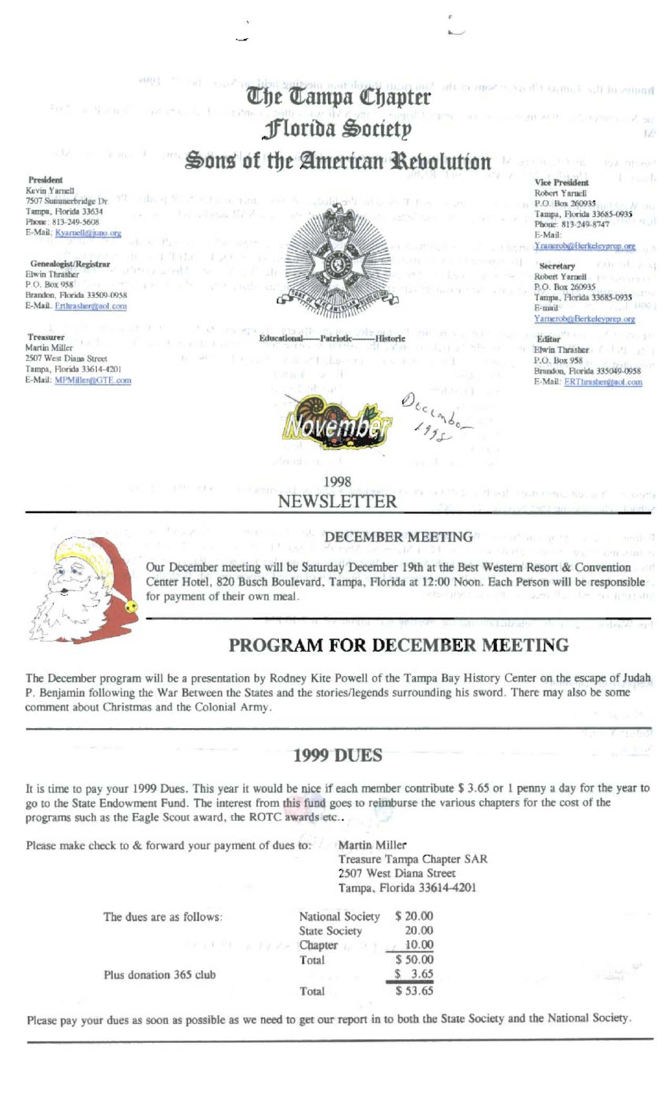

### 1998 NEWSLETTER

#### **DECEMBER MEETING**



Our December meeting will be Saturday December 19th at the Best Western Resort & Convention Center Hotel, 820 Busch Boulevard, Tampa, Florida at 12:00 Noon. Each Person will be responsible for payment of their own meal. (c \*(a 6 u2)

# PROGRAM FOR DECEMBER MEETING

The December program will be a presentation by Rodney Kite Powell of the Tampa Bay History Center on the escape of Judah P. Benjamin following the War Between the States and the stories/legends surrounding his sword. There may also be some comment about Christmas and the Colonial Army.

# **1999 DUES**

It is time to pay your 1999 Dues. This year it would be nice if each member contribute \$3.65 or 1 penny a day for the year to go to the State Endowment Fund. The interest from this fund goes to reimburse the various chapters for the cost of the programs such as the Eagle Scout award, the ROTC awards etc..

Please make check to & forward your payment of dues to:

Martin Miller Treasure Tampa Chapter SAR 2507 West Diana Street Tampa, Florida 33614-4201

| The dues are as follows: | National Society                                                                  | \$20.00 |
|--------------------------|-----------------------------------------------------------------------------------|---------|
|                          | <b>State Society</b>                                                              | 20.00   |
|                          | $C_{\mathcal{F}}$ is the set of $\mathcal{F}$ and $C$ hapter $\mathcal{F}$ is the | 10.00   |
|                          | Total                                                                             | \$50.00 |
| Plus donation 365 club   |                                                                                   | 3.65    |
|                          | Total                                                                             | \$53.65 |

Please pay your dues as soon as possible as we need to get our report in to both the State Society and the National Society.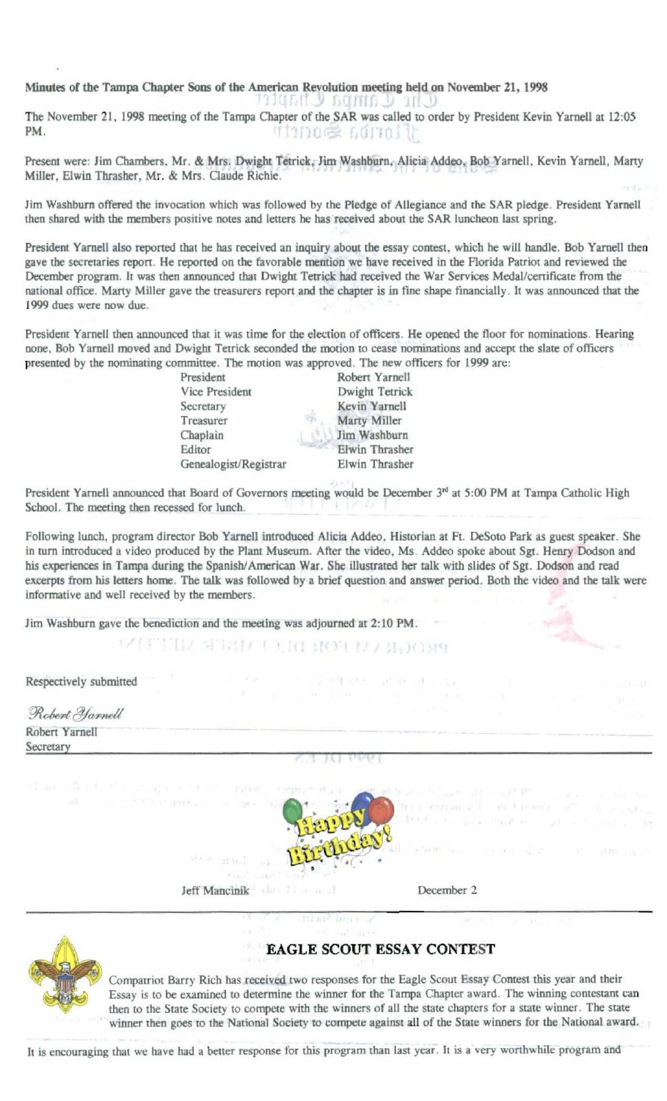Minutes of the Tampa Chapter Sons of the American Revolution meeting held on November 21, 1998

111450 Y GUIHA Y 111 Y The November 21, 1998 meeting of the Tampa Chapter of the SAR was called to order by President Kevin Yarnell at 12:05 PM. VIONOS LOITOJ U

Present were: Jim Chambers, Mr. & Mrs. Dwight Tetrick, Jim Washburn, Alicia Addeo, Bob Yarnell, Kevin Yarnell, Marty Miller, Elwin Thrasher, Mr. & Mrs. Claude Richie.

Jim Washburn offered the invocation which was followed by the Pledge of Allegiance and the SAR pledge. President Yarnell then shared with the members positive notes and letters he has received about the SAR luncheon last spring.

President Yarnell also reported that he has received an inquiry about the essay contest, which he will handle. Bob Yarnell then gave the secretaries report. He reported on the favorable mention we have received in the Florida Patriot and reviewed the December program. It was then announced that Dwight Tetrick had received the War Services Medal/certificate from the national office. Marty Miller gave the treasurers report and the chapter is in fine shape financially. It was announced that the 1999 dues were now due.

President Yarnell then announced that it was time for the election of officers. He opened the floor for nominations. Hearing none, Bob Yarnell moved and Dwight Tetrick seconded the motion to cease nominations and accept the slate of officers presented by the nominating committee. The motion was approved. The new officers for 1999 are:

> President Vice President Secretary Treasurer Chaplain Editor Genealogist/Registrar

Robert Yarnell Dwight Tetrick Kevin Yarnell Marty Miller Jim Washburn **Elwin Thrasher** Elwin Thrasher

President Yarnell announced that Board of Governors meeting would be December 3<sup>rd</sup> at 5:00 PM at Tampa Catholic High School. The meeting then recessed for lunch.

Following lunch, program director Bob Yarnell introduced Alicia Addeo, Historian at Ft. DeSoto Park as guest speaker. She in turn introduced a video produced by the Plant Museum. After the video, Ms. Addeo spoke about Sgt. Henry Dodson and his experiences in Tampa during the Spanish/American War. She illustrated her talk with slides of Sgt. Dodson and read excerpts from his letters home. The talk was followed by a brief question and answer period. Both the video and the talk were informative and well received by the members.

Jim Washburn gave the benediction and the meeting was adjourned at 2:10 PM.

TEA SEBBET F.TO STOP 17 / SENDONY

Respectively submitted

| Robert Yarnell                                                                                     |  |  |  |
|----------------------------------------------------------------------------------------------------|--|--|--|
| Robert Yarnell<br>Secretary                                                                        |  |  |  |
|                                                                                                    |  |  |  |
| indicate that it is the special of the content of the second forces in the second process that the |  |  |  |

and the will need and we offer that



**Jeff Mancinik STARR** 

SEE of Louis Bear

December 2

400 Foreston



### **EAGLE SCOUT ESSAY CONTEST**

Compatriot Barry Rich has received two responses for the Eagle Scout Essay Contest this year and their Essay is to be examined to determine the winner for the Tampa Chapter award. The winning contestant can then to the State Society to compete with the winners of all the state chapters for a state winner. The state winner then goes to the National Society to compete against all of the State winners for the National award.

It is encouraging that we have had a better response for this program than last year. It is a very worthwhile program and